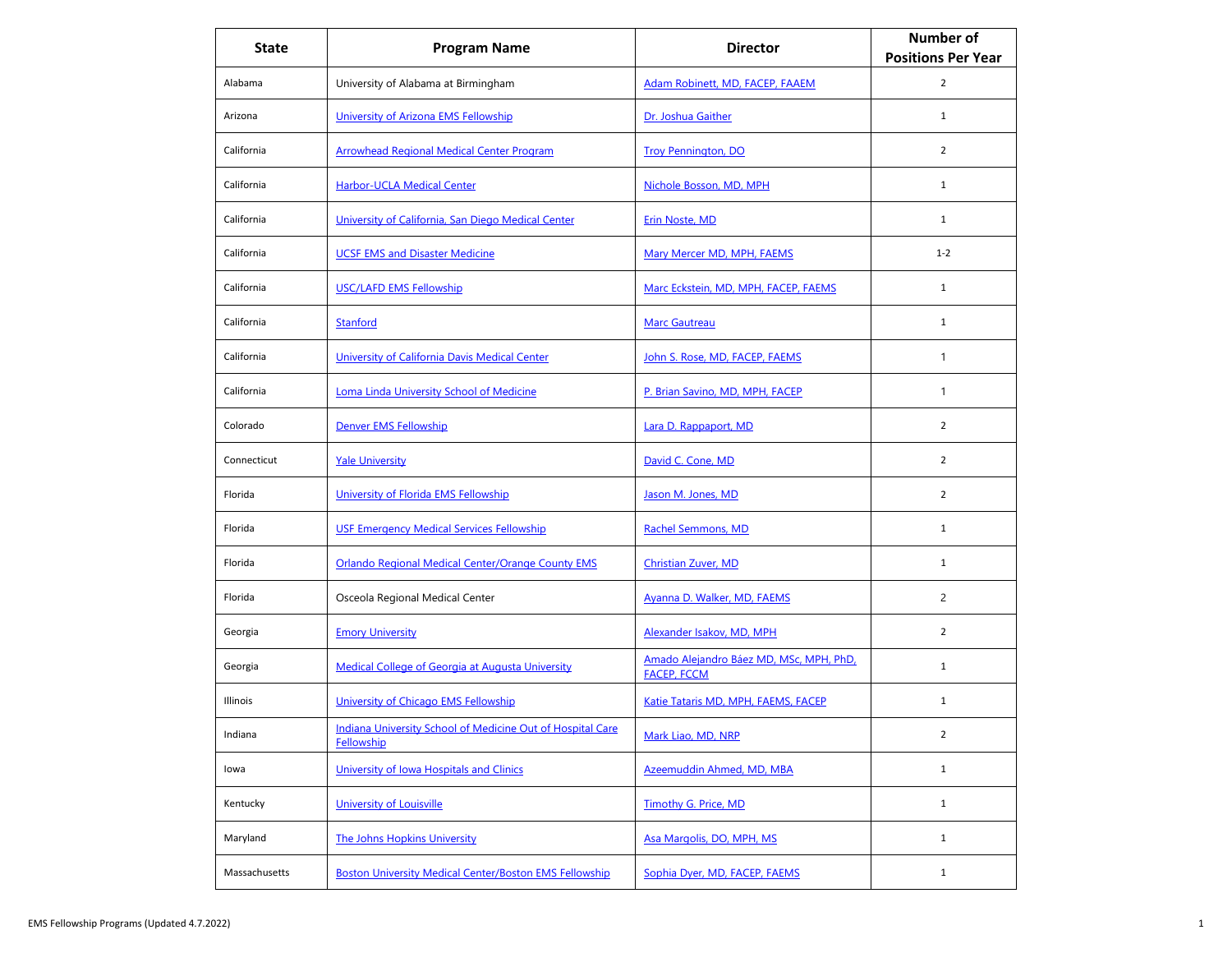| <b>State</b>  | <b>Program Name</b>                                                      | <b>Director</b>                                               | <b>Number of</b><br><b>Positions Per Year</b> |
|---------------|--------------------------------------------------------------------------|---------------------------------------------------------------|-----------------------------------------------|
| Alabama       | University of Alabama at Birmingham                                      | Adam Robinett, MD, FACEP, FAAEM                               | $\overline{2}$                                |
| Arizona       | University of Arizona EMS Fellowship                                     | Dr. Joshua Gaither                                            | $\mathbf{1}$                                  |
| California    | <b>Arrowhead Regional Medical Center Program</b>                         | <b>Troy Pennington, DO</b>                                    | $\overline{2}$                                |
| California    | <b>Harbor-UCLA Medical Center</b>                                        | Nichole Bosson, MD, MPH                                       | $\mathbf{1}$                                  |
| California    | University of California, San Diego Medical Center                       | <b>Erin Noste, MD</b>                                         | $\mathbf{1}$                                  |
| California    | <b>UCSF EMS and Disaster Medicine</b>                                    | Mary Mercer MD, MPH, FAEMS                                    | $1 - 2$                                       |
| California    | <b>USC/LAFD EMS Fellowship</b>                                           | Marc Eckstein, MD, MPH, FACEP, FAEMS                          | $\mathbf{1}$                                  |
| California    | Stanford                                                                 | <b>Marc Gautreau</b>                                          | $\mathbf{1}$                                  |
| California    | University of California Davis Medical Center                            | John S. Rose, MD, FACEP, FAEMS                                | 1                                             |
| California    | <b>Loma Linda University School of Medicine</b>                          | P. Brian Savino, MD, MPH, FACEP                               | 1                                             |
| Colorado      | Denver EMS Fellowship                                                    | Lara D. Rappaport, MD                                         | $\overline{2}$                                |
| Connecticut   | <b>Yale University</b>                                                   | David C. Cone, MD                                             | $\overline{2}$                                |
| Florida       | University of Florida EMS Fellowship                                     | <u>Jason M. Jones, MD</u>                                     | $\overline{2}$                                |
| Florida       | <b>USF Emergency Medical Services Fellowship</b>                         | Rachel Semmons, MD                                            | $\mathbf{1}$                                  |
| Florida       | <b>Orlando Regional Medical Center/Orange County EMS</b>                 | <b>Christian Zuver, MD</b>                                    | $\mathbf{1}$                                  |
| Florida       | Osceola Regional Medical Center                                          | Ayanna D. Walker, MD, FAEMS                                   | $\overline{c}$                                |
| Georgia       | <b>Emory University</b>                                                  | Alexander Isakov, MD, MPH                                     | $\overline{2}$                                |
| Georgia       | Medical College of Georgia at Augusta University                         | Amado Alejandro Báez MD, MSc, MPH, PhD,<br><b>FACEP, FCCM</b> | $\mathbf{1}$                                  |
| Illinois      | University of Chicago EMS Fellowship                                     | Katie Tataris MD, MPH, FAEMS, FACEP                           | $\mathbf{1}$                                  |
| Indiana       | Indiana University School of Medicine Out of Hospital Care<br>Fellowship | Mark Liao, MD, NRP                                            | $\overline{2}$                                |
| lowa          | University of Iowa Hospitals and Clinics                                 | Azeemuddin Ahmed, MD, MBA                                     | $\mathbf{1}$                                  |
| Kentucky      | <b>University of Louisville</b>                                          | Timothy G. Price, MD                                          | $\mathbf{1}$                                  |
| Maryland      | <b>The Johns Hopkins University</b>                                      | Asa Margolis, DO, MPH, MS                                     | $\mathbf{1}$                                  |
| Massachusetts | <b>Boston University Medical Center/Boston EMS Fellowship</b>            | Sophia Dyer, MD, FACEP, FAEMS                                 | $\mathbf{1}$                                  |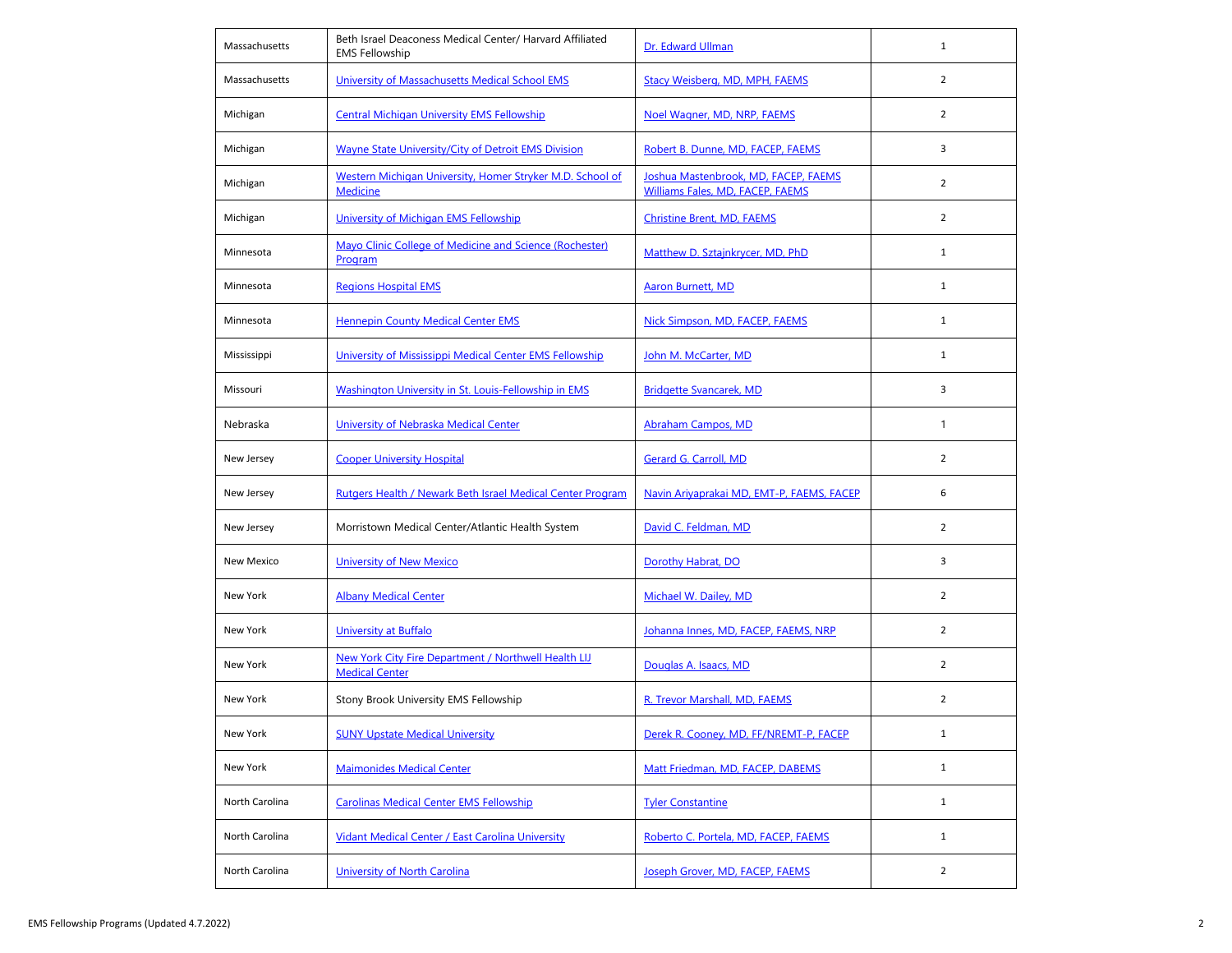| Massachusetts     | Beth Israel Deaconess Medical Center/ Harvard Affiliated<br><b>EMS Fellowship</b> | Dr. Edward Ullman                                                        | $\mathbf{1}$   |
|-------------------|-----------------------------------------------------------------------------------|--------------------------------------------------------------------------|----------------|
| Massachusetts     | University of Massachusetts Medical School EMS                                    | Stacy Weisberg, MD, MPH, FAEMS                                           | 2              |
| Michigan          | <b>Central Michigan University EMS Fellowship</b>                                 | Noel Wagner, MD, NRP, FAEMS                                              | $\overline{2}$ |
| Michigan          | <b>Wayne State University/City of Detroit EMS Division</b>                        | Robert B. Dunne, MD, FACEP, FAEMS                                        | 3              |
| Michigan          | Western Michigan University, Homer Stryker M.D. School of<br><b>Medicine</b>      | Joshua Mastenbrook, MD, FACEP, FAEMS<br>Williams Fales, MD, FACEP, FAEMS | $\overline{2}$ |
| Michigan          | University of Michigan EMS Fellowship                                             | <b>Christine Brent, MD, FAEMS</b>                                        | $\overline{2}$ |
| Minnesota         | Mayo Clinic College of Medicine and Science (Rochester)<br>Program                | Matthew D. Sztajnkrycer, MD, PhD                                         | $\mathbf{1}$   |
| Minnesota         | <b>Regions Hospital EMS</b>                                                       | <b>Aaron Burnett, MD</b>                                                 | $\mathbf{1}$   |
| Minnesota         | <b>Hennepin County Medical Center EMS</b>                                         | Nick Simpson, MD, FACEP, FAEMS                                           | $\mathbf{1}$   |
| Mississippi       | University of Mississippi Medical Center EMS Fellowship                           | John M. McCarter, MD                                                     | $\mathbf{1}$   |
| Missouri          | Washington University in St. Louis-Fellowship in EMS                              | <b>Bridgette Svancarek, MD</b>                                           | 3              |
| Nebraska          | University of Nebraska Medical Center                                             | <b>Abraham Campos, MD</b>                                                | $\mathbf{1}$   |
| New Jersey        | <b>Cooper University Hospital</b>                                                 | Gerard G. Carroll, MD                                                    | $\overline{2}$ |
| New Jersey        | Rutgers Health / Newark Beth Israel Medical Center Program                        | Navin Ariyaprakai MD, EMT-P, FAEMS, FACEP                                | 6              |
| New Jersey        | Morristown Medical Center/Atlantic Health System                                  | David C. Feldman, MD                                                     | $\overline{2}$ |
| <b>New Mexico</b> | <b>University of New Mexico</b>                                                   | Dorothy Habrat, DO                                                       | 3              |
| New York          | <b>Albany Medical Center</b>                                                      | Michael W. Dailey, MD                                                    | $\overline{2}$ |
| New York          | <b>University at Buffalo</b>                                                      | Johanna Innes, MD, FACEP, FAEMS, NRP                                     | $\overline{2}$ |
| New York          | New York City Fire Department / Northwell Health LIJ<br><b>Medical Center</b>     | Douglas A. Isaacs, MD                                                    | $\overline{2}$ |
| New York          | Stony Brook University EMS Fellowship                                             | R. Trevor Marshall, MD, FAEMS                                            | $\overline{2}$ |
| New York          | <b>SUNY Upstate Medical University</b>                                            | Derek R. Cooney, MD, FF/NREMT-P, FACEP                                   | $\mathbf{1}$   |
| New York          | <b>Maimonides Medical Center</b>                                                  | Matt Friedman, MD, FACEP, DABEMS                                         | $\mathbf{1}$   |
| North Carolina    | <b>Carolinas Medical Center EMS Fellowship</b>                                    | <b>Tyler Constantine</b>                                                 | $\mathbf{1}$   |
| North Carolina    | Vidant Medical Center / East Carolina University                                  | Roberto C. Portela, MD, FACEP, FAEMS                                     | $\mathbf{1}$   |
| North Carolina    | <b>University of North Carolina</b>                                               | Joseph Grover, MD, FACEP, FAEMS                                          | $\overline{2}$ |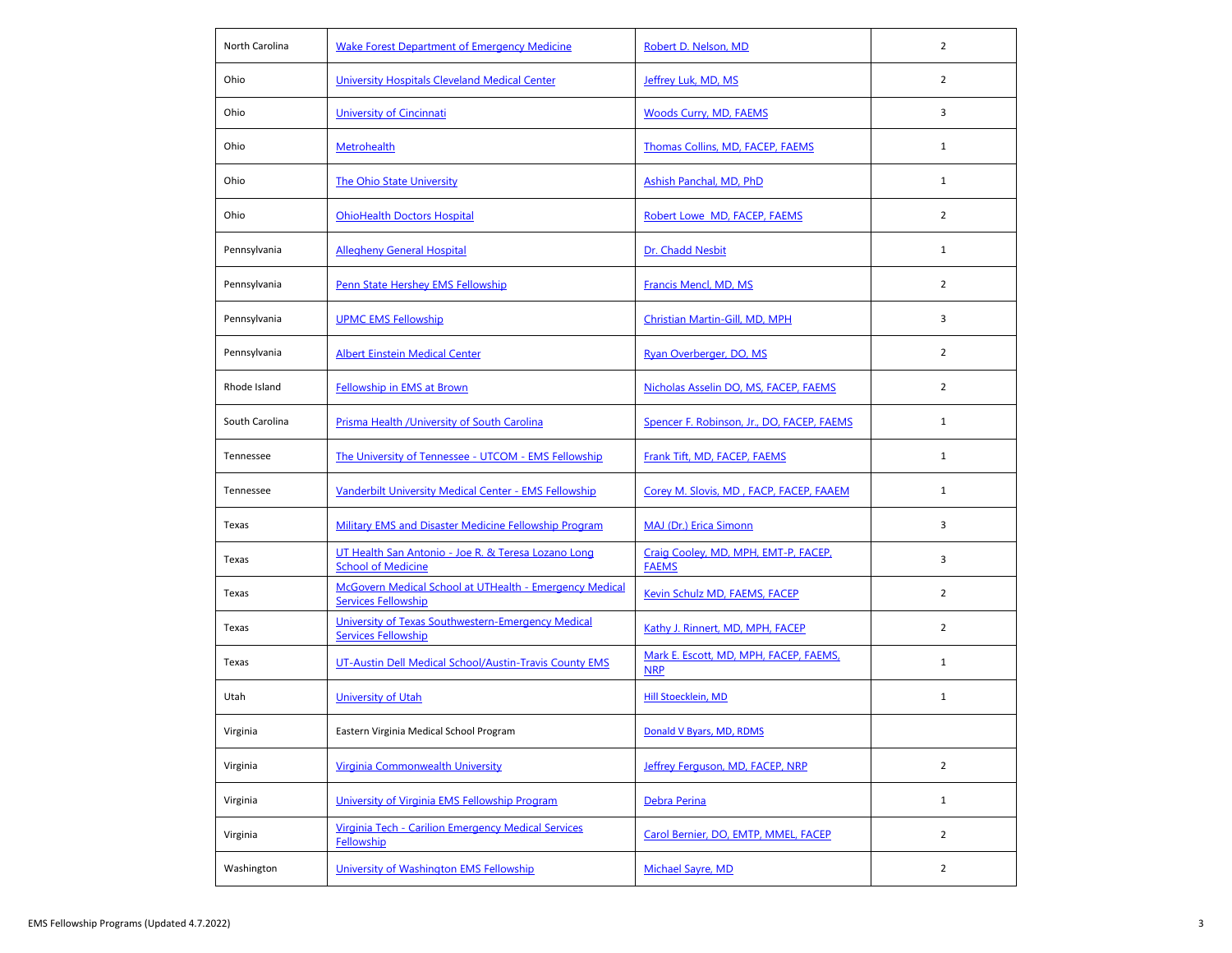| North Carolina | <b>Wake Forest Department of Emergency Medicine</b>                                   | Robert D. Nelson, MD                                 | $\overline{2}$ |
|----------------|---------------------------------------------------------------------------------------|------------------------------------------------------|----------------|
| Ohio           | <b>University Hospitals Cleveland Medical Center</b>                                  | Jeffrey Luk, MD, MS                                  | $\overline{2}$ |
| Ohio           | University of Cincinnati                                                              | <b>Woods Curry, MD, FAEMS</b>                        | 3              |
| Ohio           | <b>Metrohealth</b>                                                                    | Thomas Collins, MD, FACEP, FAEMS                     | $\mathbf{1}$   |
| Ohio           | The Ohio State University                                                             | Ashish Panchal, MD, PhD                              | $\mathbf{1}$   |
| Ohio           | <b>OhioHealth Doctors Hospital</b>                                                    | Robert Lowe MD, FACEP, FAEMS                         | $\overline{2}$ |
| Pennsylvania   | <b>Allegheny General Hospital</b>                                                     | Dr. Chadd Nesbit                                     | $\mathbf{1}$   |
| Pennsylvania   | <b>Penn State Hershey EMS Fellowship</b>                                              | Francis Mencl, MD, MS                                | $\overline{2}$ |
| Pennsylvania   | <b>UPMC EMS Fellowship</b>                                                            | Christian Martin-Gill, MD, MPH                       | 3              |
| Pennsylvania   | <b>Albert Einstein Medical Center</b>                                                 | Ryan Overberger, DO, MS                              | $\overline{2}$ |
| Rhode Island   | Fellowship in EMS at Brown                                                            | Nicholas Asselin DO, MS, FACEP, FAEMS                | $\overline{2}$ |
| South Carolina | Prisma Health / University of South Carolina                                          | Spencer F. Robinson, Jr., DO, FACEP, FAEMS           | $\mathbf{1}$   |
| Tennessee      | The University of Tennessee - UTCOM - EMS Fellowship                                  | Frank Tift, MD, FACEP, FAEMS                         | $\mathbf{1}$   |
| Tennessee      | Vanderbilt University Medical Center - EMS Fellowship                                 | Corey M. Slovis, MD, FACP, FACEP, FAAEM              | $\mathbf{1}$   |
| Texas          | Military EMS and Disaster Medicine Fellowship Program                                 | MAJ (Dr.) Erica Simonn                               | 3              |
| Texas          | UT Health San Antonio - Joe R. & Teresa Lozano Long<br><b>School of Medicine</b>      | Craig Cooley, MD, MPH, EMT-P, FACEP,<br><b>FAEMS</b> | 3              |
| Texas          | McGovern Medical School at UTHealth - Emergency Medical<br><b>Services Fellowship</b> | Kevin Schulz MD, FAEMS, FACEP                        | $\overline{2}$ |
| Texas          | University of Texas Southwestern-Emergency Medical<br><b>Services Fellowship</b>      | Kathy J. Rinnert, MD, MPH, FACEP                     | $\overline{2}$ |
| Texas          | UT-Austin Dell Medical School/Austin-Travis County EMS                                | Mark E. Escott, MD, MPH, FACEP, FAEMS,<br><b>NRP</b> | $\mathbf{1}$   |
| Utah           | University of Utah                                                                    | Hill Stoecklein, MD                                  | $\mathbf{1}$   |
| Virginia       | Eastern Virginia Medical School Program                                               | Donald V Byars, MD, RDMS                             |                |
| Virginia       | Virginia Commonwealth University                                                      | Jeffrey Ferguson, MD, FACEP, NRP                     | $\overline{2}$ |
| Virginia       | University of Virginia EMS Fellowship Program                                         | Debra Perina                                         | $\mathbf{1}$   |
| Virginia       | Virginia Tech - Carilion Emergency Medical Services<br>Fellowship                     | Carol Bernier, DO, EMTP, MMEL, FACEP                 | $\overline{2}$ |
| Washington     | University of Washington EMS Fellowship                                               | Michael Sayre, MD                                    | $\overline{2}$ |